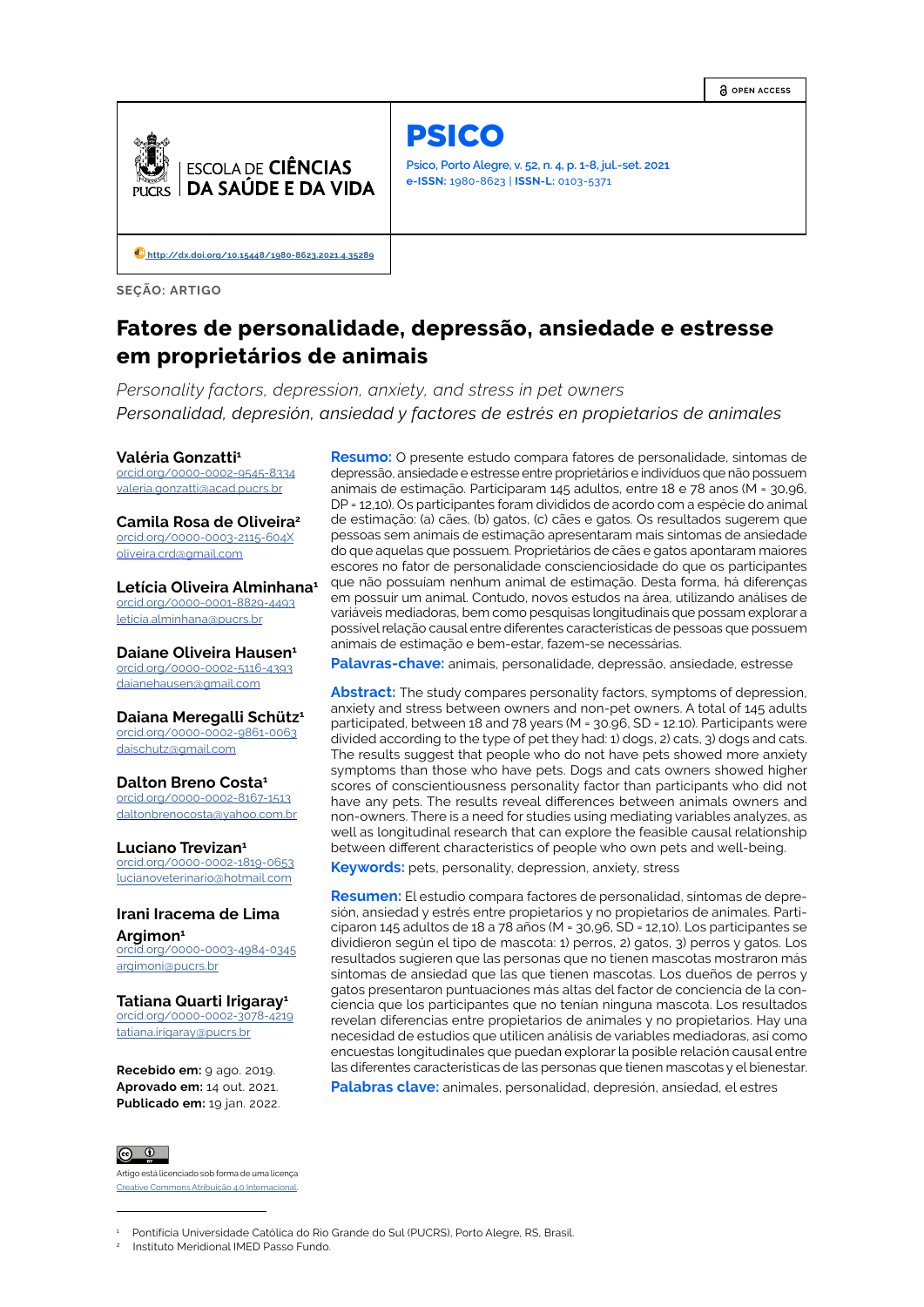**OPEN ACCESS**



PSICO

**Psico, Porto Alegre, v. 52, n. 4, p. 1-8, jul.-set. 2021 e-ISSN:** 1980-8623 | **ISSN-L:** 0103-5371

 **[http://d](http://dx.doi.org/10.15448/1980-8623.2021.4.35289)x.doi.org/10.15448/1980-8623.2021.4.35289**

**SEÇÃO: ARTIGO**

# **Fatores de personalidade, depressão, ansiedade e estresse em proprietários de animais**

*Personality factors, depression, anxiety, and stress in pet owners Personalidad, depresión, ansiedad y factores de estrés en propietarios de animales*

#### **Valéria Gonzatti1**

[orcid.org/](https://orcid.org/0000-0002-7417-499X)0000-0002-9545-8334 valeria.gonzatti@acad.pucrs.br

**Camila Rosa de Oliveira2**

[orcid.org/](https://orcid.org/0000-0002-7417-499X)0000-0003-2115-604X oliveira.crd@gmail.com

**Letícia Oliveira Alminhana1**

orcid.org/0000-0001-8829-4493 leticia.alminhana@pucrs.br

**Daiane Oliveira Hausen1** [orcid.org/](https://orcid.org/0000-0002-7417-499X)0000-0002-5116-4393

daianehausen@gmail.com

**Daiana Meregalli Schütz1**

[orcid.org/](https://orcid.org/0000-0002-7417-499X)0000-0002-9861-0063 daischutz@gmail.com

#### **Dalton Breno Costa1**

[orcid.org/](https://orcid.org/0000-0002-7417-499X)0000-0002-8167-1513 daltonbrenocosta@yahoo.com.br

#### **Luciano Trevizan<sup>1</sup>**

[orcid.org/0](https://orcid.org/0000-0002-7417-499X)000-0002-1819-0653 lucianoveterinario@hotmail.com

# **Irani Iracema de Lima Argimon<sup>1</sup>**

[orcid.org/0](https://orcid.org/0000-0002-7417-499X)000-0003-4984-0345 argimoni@pucrs.br

#### **Tatiana Quarti Irigaray<sup>1</sup>**

orcid.org/0000-0002-3078-4219 tatiana.irigaray@pucrs.br

**Recebido em:** 9 ago. 2019. **Aprovado em:** 14 out. 2021. **Publicado em:** 19 jan. 2022.

 $\circ$   $\circ$ Artigo está licenciado sob forma de uma licença

Creative Commons Atribuição 4.0 Internacional.

**Resumo:** O presente estudo compara fatores de personalidade, sintomas de depressão, ansiedade e estresse entre proprietários e indivíduos que não possuem animais de estimação. Participaram 145 adultos, entre 18 e 78 anos (M = 30,96, DP = 12,10). Os participantes foram divididos de acordo com a espécie do animal de estimação: (a) cães, (b) gatos, (c) cães e gatos. Os resultados sugerem que pessoas sem animais de estimação apresentaram mais sintomas de ansiedade do que aquelas que possuem. Proprietários de cães e gatos apontaram maiores escores no fator de personalidade conscienciosidade do que os participantes que não possuíam nenhum animal de estimação. Desta forma, há diferenças em possuir um animal. Contudo, novos estudos na área, utilizando análises de variáveis mediadoras, bem como pesquisas longitudinais que possam explorar a possível relação causal entre diferentes características de pessoas que possuem animais de estimação e bem-estar, fazem-se necessárias.

**Palavras-chave:** animais, personalidade, depressão, ansiedade, estresse

**Abstract:** The study compares personality factors, symptoms of depression, anxiety and stress between owners and non-pet owners. A total of 145 adults participated, between 18 and 78 years (M = 30.96, SD = 12.10). Participants were divided according to the type of pet they had: 1) dogs, 2) cats, 3) dogs and cats. The results suggest that people who do not have pets showed more anxiety symptoms than those who have pets. Dogs and cats owners showed higher scores of conscientiousness personality factor than participants who did not have any pets. The results reveal differences between animals owners and non-owners. There is a need for studies using mediating variables analyzes, as well as longitudinal research that can explore the feasible causal relationship between different characteristics of people who own pets and well-being.

**Keywords:** pets, personality, depression, anxiety, stress

**Resumen:** El estudio compara factores de personalidad, síntomas de depresión, ansiedad y estrés entre propietarios y no propietarios de animales. Participaron 145 adultos de 18 a 78 años (M = 30,96, SD = 12,10). Los participantes se dividieron según el tipo de mascota: 1) perros, 2) gatos, 3) perros y gatos. Los resultados sugieren que las personas que no tienen mascotas mostraron más síntomas de ansiedad que las que tienen mascotas. Los dueños de perros y gatos presentaron puntuaciones más altas del factor de conciencia de la conciencia que los participantes que no tenían ninguna mascota. Los resultados revelan diferencias entre propietarios de animales y no propietarios. Hay una necesidad de estudios que utilicen análisis de variables mediadoras, así como encuestas longitudinales que puedan explorar la posible relación causal entre las diferentes características de las personas que tienen mascotas y el bienestar.

**Palabras clave:** animales, personalidad, depresión, ansiedad, el estres

<sup>1</sup> Pontifícia Universidade Católica do Rio Grande do Sul (PUCRS), Porto Alegre, RS, Brasil.

<sup>2</sup> Instituto Meridional IMED Passo Fundo.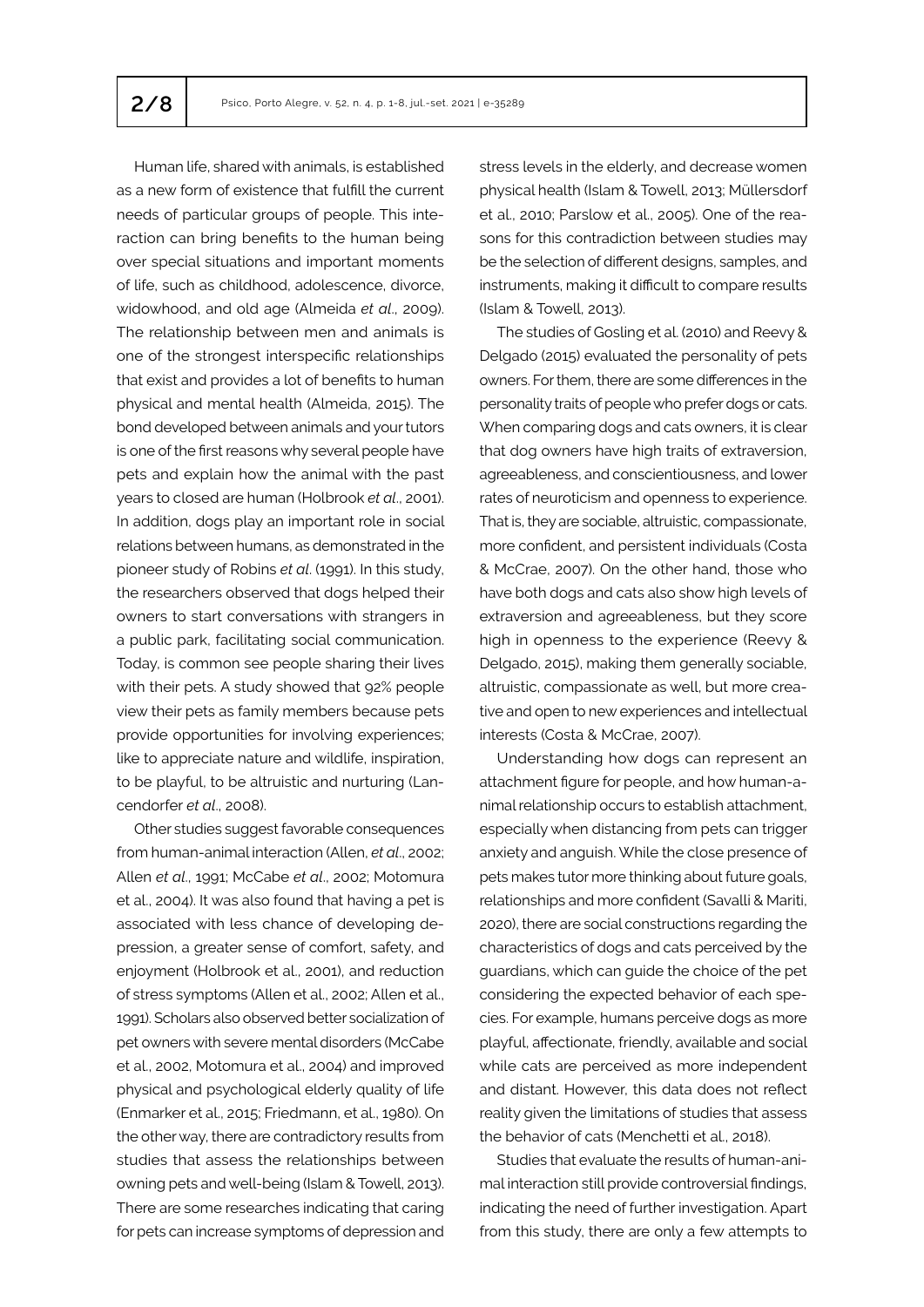Human life, shared with animals, is established as a new form of existence that fulfill the current needs of particular groups of people. This interaction can bring benefits to the human being over special situations and important moments of life, such as childhood, adolescence, divorce, widowhood, and old age (Almeida *et al*., 2009). The relationship between men and animals is one of the strongest interspecific relationships that exist and provides a lot of benefits to human physical and mental health (Almeida, 2015). The bond developed between animals and your tutors is one of the first reasons why several people have pets and explain how the animal with the past years to closed are human (Holbrook *et al*., 2001). In addition, dogs play an important role in social relations between humans, as demonstrated in the pioneer study of Robins *et al*. (1991). In this study, the researchers observed that dogs helped their owners to start conversations with strangers in a public park, facilitating social communication. Today, is common see people sharing their lives with their pets. A study showed that 92% people view their pets as family members because pets provide opportunities for involving experiences; like to appreciate nature and wildlife, inspiration, to be playful, to be altruistic and nurturing (Lancendorfer *et al*., 2008).

Other studies suggest favorable consequences from human-animal interaction (Allen, *et al*., 2002; Allen *et al*., 1991; McCabe *et al*., 2002; Motomura et al., 2004). It was also found that having a pet is associated with less chance of developing depression, a greater sense of comfort, safety, and enjoyment (Holbrook et al., 2001), and reduction of stress symptoms (Allen et al., 2002; Allen et al., 1991). Scholars also observed better socialization of pet owners with severe mental disorders (McCabe et al., 2002, Motomura et al., 2004) and improved physical and psychological elderly quality of life (Enmarker et al., 2015; Friedmann, et al., 1980). On the other way, there are contradictory results from studies that assess the relationships between owning pets and well-being (Islam & Towell, 2013). There are some researches indicating that caring for pets can increase symptoms of depression and stress levels in the elderly, and decrease women physical health (Islam & Towell, 2013; Müllersdorf et al., 2010; Parslow et al., 2005). One of the reasons for this contradiction between studies may be the selection of different designs, samples, and instruments, making it difficult to compare results (Islam & Towell, 2013).

The studies of Gosling et al. (2010) and Reevy & Delgado (2015) evaluated the personality of pets owners. For them, there are some differences in the personality traits of people who prefer dogs or cats. When comparing dogs and cats owners, it is clear that dog owners have high traits of extraversion, agreeableness, and conscientiousness, and lower rates of neuroticism and openness to experience. That is, they are sociable, altruistic, compassionate, more confident, and persistent individuals (Costa & McCrae, 2007). On the other hand, those who have both dogs and cats also show high levels of extraversion and agreeableness, but they score high in openness to the experience (Reevy & Delgado, 2015), making them generally sociable, altruistic, compassionate as well, but more creative and open to new experiences and intellectual interests (Costa & McCrae, 2007).

Understanding how dogs can represent an attachment figure for people, and how human-animal relationship occurs to establish attachment, especially when distancing from pets can trigger anxiety and anguish. While the close presence of pets makes tutor more thinking about future goals, relationships and more confident (Savalli & Mariti, 2020), there are social constructions regarding the characteristics of dogs and cats perceived by the guardians, which can guide the choice of the pet considering the expected behavior of each species. For example, humans perceive dogs as more playful, affectionate, friendly, available and social while cats are perceived as more independent and distant. However, this data does not reflect reality given the limitations of studies that assess the behavior of cats (Menchetti et al., 2018).

Studies that evaluate the results of human-animal interaction still provide controversial findings, indicating the need of further investigation. Apart from this study, there are only a few attempts to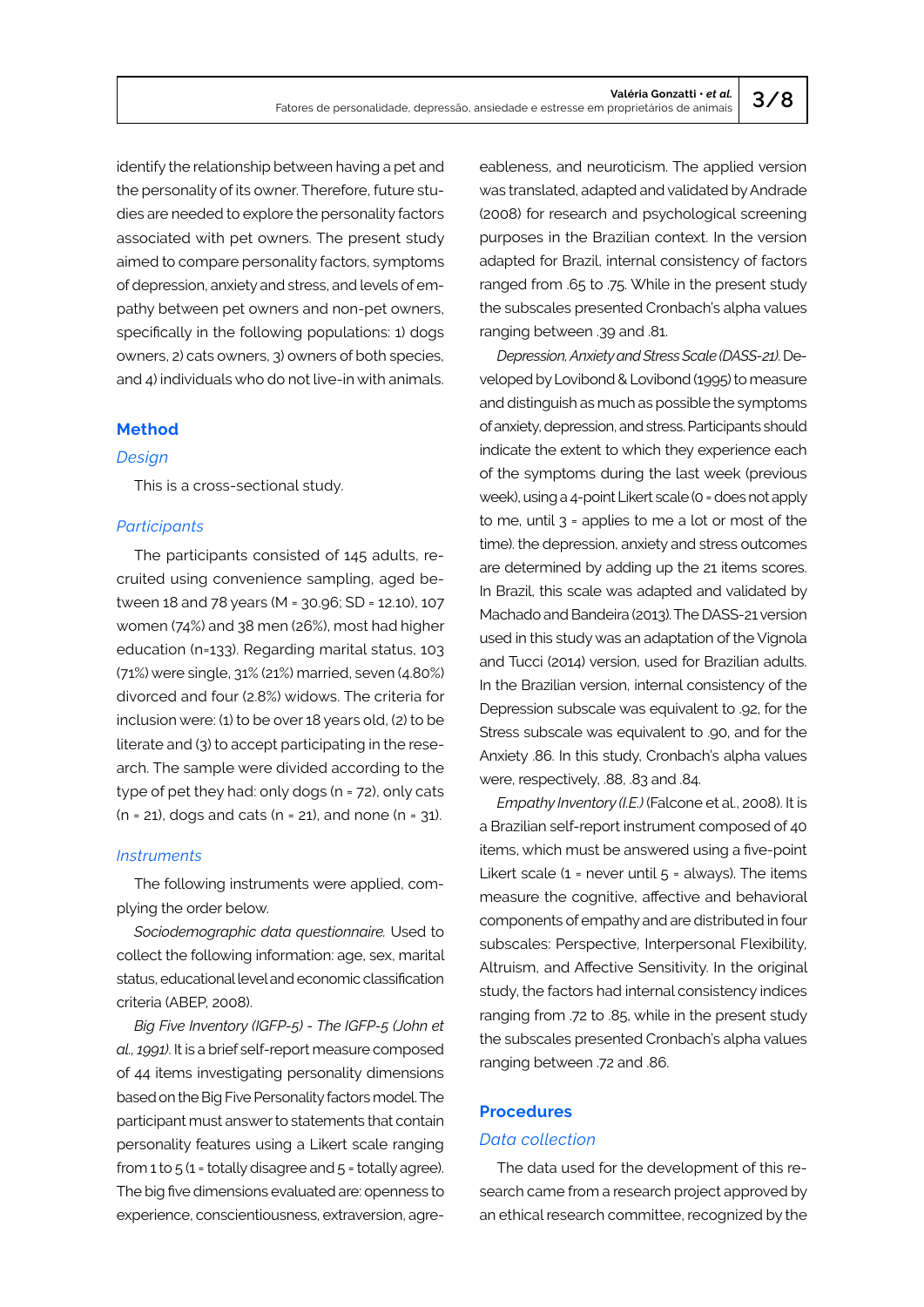identify the relationship between having a pet and the personality of its owner. Therefore, future studies are needed to explore the personality factors associated with pet owners. The present study aimed to compare personality factors, symptoms of depression, anxiety and stress, and levels of empathy between pet owners and non-pet owners, specifically in the following populations: 1) dogs owners, 2) cats owners, 3) owners of both species, and 4) individuals who do not live-in with animals.

# **Method**

#### *Design*

This is a cross-sectional study.

## *Participants*

The participants consisted of 145 adults, recruited using convenience sampling, aged between 18 and 78 years (M = 30.96; SD = 12.10), 107 women (74%) and 38 men (26%), most had higher education (n=133). Regarding marital status, 103 (71%) were single, 31% (21%) married, seven (4.80%) divorced and four (2.8%) widows. The criteria for inclusion were: (1) to be over 18 years old, (2) to be literate and (3) to accept participating in the research. The sample were divided according to the type of pet they had: only dogs (n = 72), only cats  $(n = 21)$ , dogs and cats  $(n = 21)$ , and none  $(n = 31)$ .

# *Instruments*

The following instruments were applied, complying the order below.

*Sociodemographic data questionnaire.* Used to collect the following information: age, sex, marital status, educational level and economic classification criteria (ABEP, 2008).

*Big Five Inventory (IGFP-5) - The IGFP-5 (John et al., 1991)*. It is a brief self-report measure composed of 44 items investigating personality dimensions based on the Big Five Personality factors model. The participant must answer to statements that contain personality features using a Likert scale ranging from 1 to  $5$  (1 = totally disagree and  $5$  = totally agree). The big five dimensions evaluated are: openness to experience, conscientiousness, extraversion, agreeableness, and neuroticism. The applied version was translated, adapted and validated by Andrade (2008) for research and psychological screening purposes in the Brazilian context. In the version adapted for Brazil, internal consistency of factors ranged from .65 to .75. While in the present study the subscales presented Cronbach's alpha values ranging between .39 and .81.

*Depression, Anxiety and Stress Scale (DASS-21)*. Developed by Lovibond & Lovibond (1995) to measure and distinguish as much as possible the symptoms of anxiety, depression, and stress. Participants should indicate the extent to which they experience each of the symptoms during the last week (previous week), using a 4-point Likert scale (0 = does not apply to me, until  $3$  = applies to me a lot or most of the time). the depression, anxiety and stress outcomes are determined by adding up the 21 items scores. In Brazil, this scale was adapted and validated by Machado and Bandeira (2013). The DASS-21 version used in this study was an adaptation of the Vignola and Tucci (2014) version, used for Brazilian adults. In the Brazilian version, internal consistency of the Depression subscale was equivalent to .92, for the Stress subscale was equivalent to .90, and for the Anxiety .86. In this study, Cronbach's alpha values were, respectively, .88, .83 and .84.

*Empathy Inventory (I.E.)* (Falcone et al., 2008). It is a Brazilian self-report instrument composed of 40 items, which must be answered using a five-point Likert scale  $(1 -$  never until  $5 -$  always). The items measure the cognitive, affective and behavioral components of empathy and are distributed in four subscales: Perspective, Interpersonal Flexibility, Altruism, and Affective Sensitivity. In the original study, the factors had internal consistency indices ranging from .72 to .85, while in the present study the subscales presented Cronbach's alpha values ranging between .72 and .86.

# **Procedures**

#### *Data collection*

The data used for the development of this research came from a research project approved by an ethical research committee, recognized by the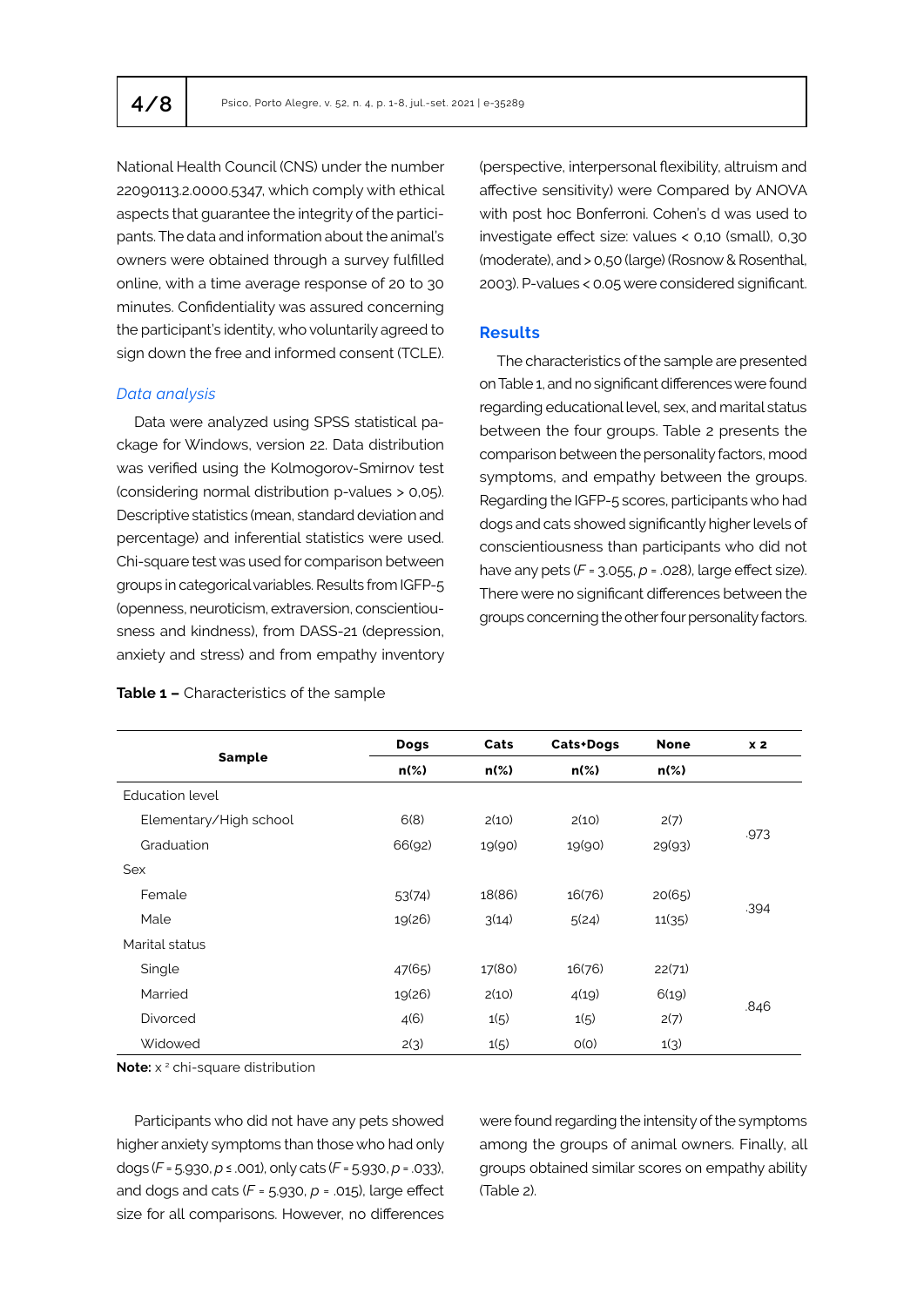National Health Council (CNS) under the number 22090113.2.0000.5347, which comply with ethical aspects that guarantee the integrity of the participants. The data and information about the animal's owners were obtained through a survey fulfilled online, with a time average response of 20 to 30 minutes. Confidentiality was assured concerning the participant's identity, who voluntarily agreed to sign down the free and informed consent (TCLE).

#### *Data analysis*

Data were analyzed using SPSS statistical package for Windows, version 22. Data distribution was verified using the Kolmogorov-Smirnov test (considering normal distribution p-values > 0,05). Descriptive statistics (mean, standard deviation and percentage) and inferential statistics were used. Chi-square test was used for comparison between groups in categorical variables. Results from IGFP-5 (openness, neuroticism, extraversion, conscientiousness and kindness), from DASS-21 (depression, anxiety and stress) and from empathy inventory

## **Table 1 –** Characteristics of the sample

(perspective, interpersonal flexibility, altruism and affective sensitivity) were Compared by ANOVA with post hoc Bonferroni. Cohen's d was used to investigate effect size: values < 0,10 (small), 0,30 (moderate), and > 0,50 (large) (Rosnow & Rosenthal, 2003). P-values < 0.05 were considered significant.

# **Results**

The characteristics of the sample are presented on Table 1, and no significant differences were found regarding educational level, sex, and marital status between the four groups. Table 2 presents the comparison between the personality factors, mood symptoms, and empathy between the groups. Regarding the IGFP-5 scores, participants who had dogs and cats showed significantly higher levels of conscientiousness than participants who did not have any pets (*F* = 3.055, *p* = .028), large effect size). There were no significant differences between the groups concerning the other four personality factors.

|                        | Dogs    | Cats    | Cats+Dogs | <b>None</b> | x <sub>2</sub> |  |
|------------------------|---------|---------|-----------|-------------|----------------|--|
| <b>Sample</b>          | $n(\%)$ | $n(\%)$ | $n(\%)$   | $n(\%)$     |                |  |
| <b>Education level</b> |         |         |           |             |                |  |
| Elementary/High school | 6(8)    | 2(10)   | 2(10)     | 2(7)        | .973           |  |
| Graduation             | 66(92)  | 19(90)  | 19(90)    | 29(93)      |                |  |
| Sex                    |         |         |           |             |                |  |
| Female                 | 53(74)  | 18(86)  | 16(76)    | 20(65)      |                |  |
| Male                   | 19(26)  | 3(14)   | 5(24)     | 11(35)      | .394           |  |
| Marital status         |         |         |           |             |                |  |
| Single                 | 47(65)  | 17(80)  | 16(76)    | 22(71)      |                |  |
| Married                | 19(26)  | 2(10)   | 4(19)     | 6(19)       |                |  |
| <b>Divorced</b>        | 4(6)    | 1(5)    | 1(5)      | 2(7)        | .846           |  |
| Widowed                | 2(3)    | 1(5)    | O(O)      | 1(3)        |                |  |

**Note:** x<sup>2</sup> chi-square distribution

Participants who did not have any pets showed higher anxiety symptoms than those who had only dogs (*F* = 5.930, *p* ≤ .001), only cats (*F* = 5.930, *p* = .033), and dogs and cats (*F* = 5.930, *p* = .015), large effect size for all comparisons. However, no differences

were found regarding the intensity of the symptoms among the groups of animal owners. Finally, all groups obtained similar scores on empathy ability (Table 2).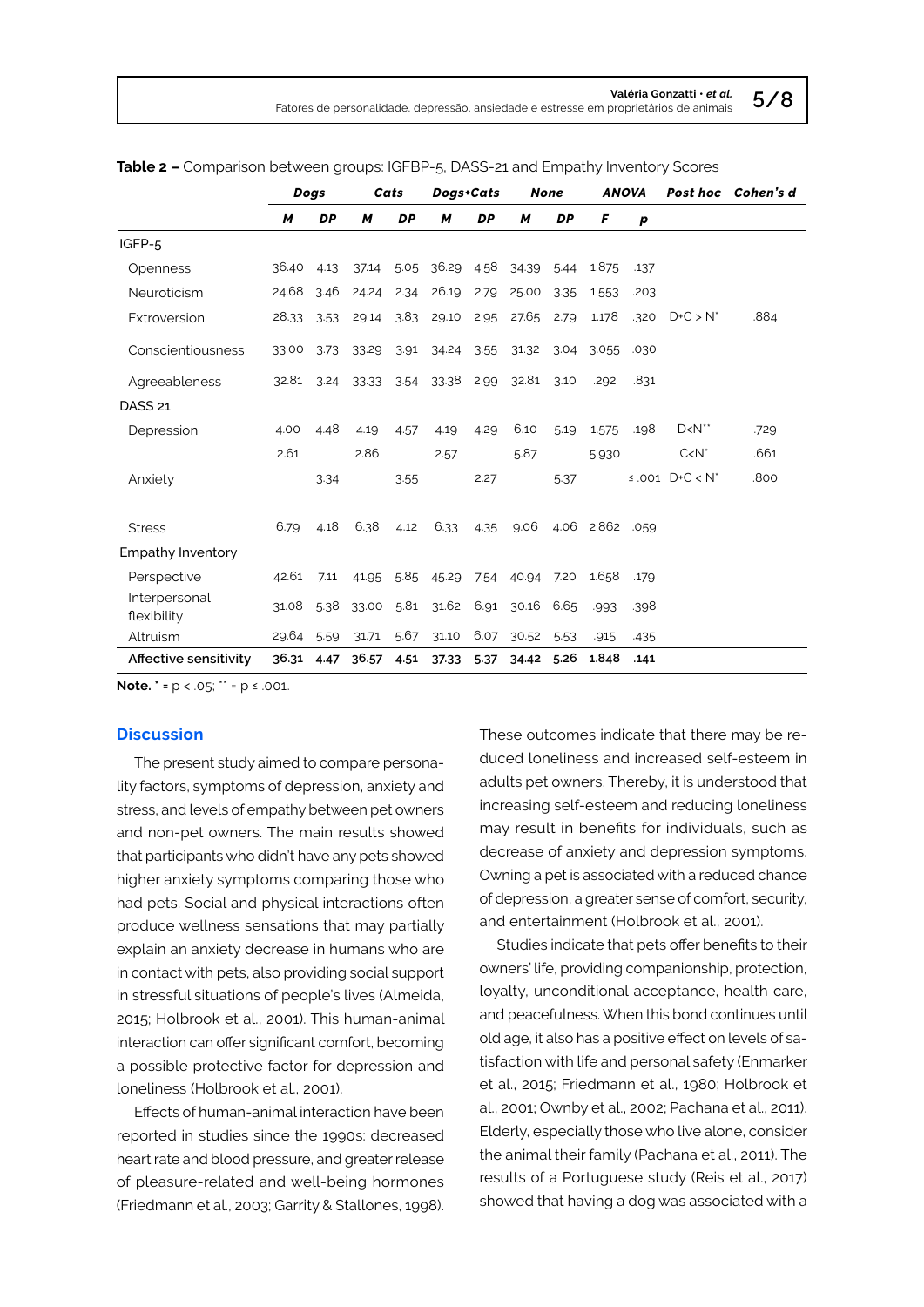|                              | Dogs       |           | Cats             |           | Dogs+Cats             |           | <b>None</b>                                 |      | <b>ANOVA</b>         |      |                   | Post hoc Cohen's d |
|------------------------------|------------|-----------|------------------|-----------|-----------------------|-----------|---------------------------------------------|------|----------------------|------|-------------------|--------------------|
|                              | M          | <b>DP</b> | м                | <b>DP</b> | M                     | <b>DP</b> | M                                           | DP   | F                    | p    |                   |                    |
| IGFP-5                       |            |           |                  |           |                       |           |                                             |      |                      |      |                   |                    |
| <b>Openness</b>              | 36.40 4.13 |           |                  |           | 37.14 5.05 36.29 4.58 |           | 34.39 5.44                                  |      | 1.875                | .137 |                   |                    |
| Neuroticism                  | 24.68      | 3.46      | 24.24 2.34 26.19 |           |                       | 2.79      | 25.00                                       | 3.35 | 1.553                | .203 |                   |                    |
| Extroversion                 | 28.33      | 3.53      | 29.14            |           | 3.83 29.10            |           | 2.95 27.65 2.79                             |      | 1.178                | .320 | $D+C > N^*$       | .884               |
| Conscientiousness            | 33.00      | 3.73      | 33.29            | 3.91      | 34.24 3.55            |           | 31.32 3.04 3.055                            |      |                      | .030 |                   |                    |
| Agreeableness                |            |           |                  |           |                       |           | 32.81 3.24 33.33 3.54 33.38 2.99 32.81 3.10 |      | .292                 | .831 |                   |                    |
| DASS <sub>21</sub>           |            |           |                  |           |                       |           |                                             |      |                      |      |                   |                    |
| Depression                   | 4.00       | 4.48      | 4.19             | 4.57      | 4.19                  | 4.29      | 6.10                                        | 5.19 | 1.575                | .198 | $D < N^*$         | .729               |
|                              | 2.61       |           | 2.86             |           | 2.57                  |           | 5.87                                        |      | 5.930                |      | $C < N^*$         | .661               |
| Anxiety                      |            | 3.34      |                  | 3.55      |                       | 2.27      |                                             | 5.37 |                      |      | ≤.001 $D+C < N^*$ | .800               |
| <b>Stress</b>                | 6.79       | 4.18      | 6.38             | 4.12      | 6.33                  | 4.35      |                                             |      | 9.06 4.06 2.862 .059 |      |                   |                    |
| <b>Empathy Inventory</b>     |            |           |                  |           |                       |           |                                             |      |                      |      |                   |                    |
| Perspective                  | 42.61 7.11 |           | 41.95            |           |                       |           | 5.85 45.29 7.54 40.94 7.20                  |      | 1.658                | .179 |                   |                    |
| Interpersonal<br>flexibility |            |           |                  |           |                       |           | 31.08 5.38 33.00 5.81 31.62 6.91 30.16 6.65 |      | .993                 | .398 |                   |                    |
| Altruism                     | 29.64 5.59 |           | 31.71            | 5.67      | 31.10                 |           | 6.07 30.52                                  | 5.53 | .915                 | .435 |                   |                    |
| Affective sensitivity        | 36.31 4.47 |           | 36.57 4.51       |           | 37.33                 | 5.37      | 34.42 5.26                                  |      | 1.848                | .141 |                   |                    |

**Table 2 –** Comparison between groups: IGFBP-5, DASS-21 and Empathy Inventory Scores

**Note. \* =** p < .05; \*\* = p ≤ .001.

#### **Discussion**

The present study aimed to compare personality factors, symptoms of depression, anxiety and stress, and levels of empathy between pet owners and non-pet owners. The main results showed that participants who didn't have any pets showed higher anxiety symptoms comparing those who had pets. Social and physical interactions often produce wellness sensations that may partially explain an anxiety decrease in humans who are in contact with pets, also providing social support in stressful situations of people's lives (Almeida, 2015; Holbrook et al., 2001). This human-animal interaction can offer significant comfort, becoming a possible protective factor for depression and loneliness (Holbrook et al., 2001).

Effects of human-animal interaction have been reported in studies since the 1990s: decreased heart rate and blood pressure, and greater release of pleasure-related and well-being hormones (Friedmann et al., 2003; Garrity & Stallones, 1998).

These outcomes indicate that there may be reduced loneliness and increased self-esteem in adults pet owners. Thereby, it is understood that increasing self-esteem and reducing loneliness may result in benefits for individuals, such as decrease of anxiety and depression symptoms. Owning a pet is associated with a reduced chance of depression, a greater sense of comfort, security, and entertainment (Holbrook et al., 2001).

Studies indicate that pets offer benefits to their owners' life, providing companionship, protection, loyalty, unconditional acceptance, health care, and peacefulness. When this bond continues until old age, it also has a positive effect on levels of satisfaction with life and personal safety (Enmarker et al., 2015; Friedmann et al., 1980; Holbrook et al., 2001; Ownby et al., 2002; Pachana et al., 2011). Elderly, especially those who live alone, consider the animal their family (Pachana et al., 2011). The results of a Portuguese study (Reis et al., 2017) showed that having a dog was associated with a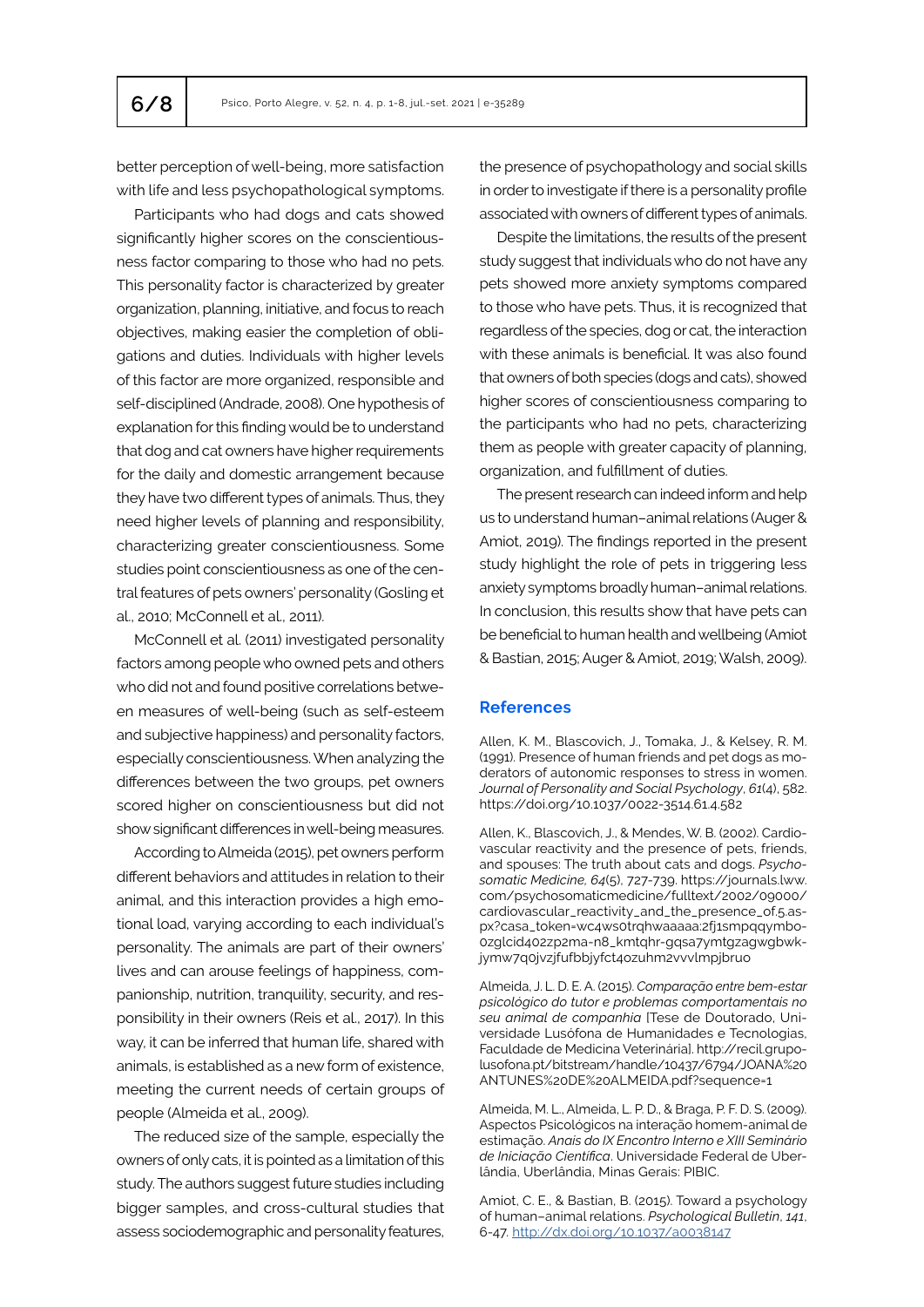better perception of well-being, more satisfaction with life and less psychopathological symptoms.

Participants who had dogs and cats showed significantly higher scores on the conscientiousness factor comparing to those who had no pets. This personality factor is characterized by greater organization, planning, initiative, and focus to reach objectives, making easier the completion of obligations and duties. Individuals with higher levels of this factor are more organized, responsible and self-disciplined (Andrade, 2008). One hypothesis of explanation for this finding would be to understand that dog and cat owners have higher requirements for the daily and domestic arrangement because they have two different types of animals. Thus, they need higher levels of planning and responsibility, characterizing greater conscientiousness. Some studies point conscientiousness as one of the central features of pets owners' personality (Gosling et al., 2010; McConnell et al., 2011).

McConnell et al. (2011) investigated personality factors among people who owned pets and others who did not and found positive correlations between measures of well-being (such as self-esteem and subjective happiness) and personality factors, especially conscientiousness. When analyzing the differences between the two groups, pet owners scored higher on conscientiousness but did not show significant differences in well-being measures.

According to Almeida (2015), pet owners perform different behaviors and attitudes in relation to their animal, and this interaction provides a high emotional load, varying according to each individual's personality. The animals are part of their owners' lives and can arouse feelings of happiness, companionship, nutrition, tranquility, security, and responsibility in their owners (Reis et al., 2017). In this way, it can be inferred that human life, shared with animals, is established as a new form of existence, meeting the current needs of certain groups of people (Almeida et al., 2009).

The reduced size of the sample, especially the owners of only cats, it is pointed as a limitation of this study. The authors suggest future studies including bigger samples, and cross-cultural studies that assess sociodemographic and personality features,

the presence of psychopathology and social skills in order to investigate if there is a personality profile associated with owners of different types of animals.

Despite the limitations, the results of the present study suggest that individuals who do not have any pets showed more anxiety symptoms compared to those who have pets. Thus, it is recognized that regardless of the species, dog or cat, the interaction with these animals is beneficial. It was also found that owners of both species (dogs and cats), showed higher scores of conscientiousness comparing to the participants who had no pets, characterizing them as people with greater capacity of planning, organization, and fulfillment of duties.

The present research can indeed inform and help us to understand human–animal relations (Auger & Amiot, 2019). The findings reported in the present study highlight the role of pets in triggering less anxiety symptoms broadly human–animal relations. In conclusion, this results show that have pets can be beneficial to human health and wellbeing (Amiot & Bastian, 2015; Auger & Amiot, 2019; Walsh, 2009).

## **References**

Allen, K. M., Blascovich, J., Tomaka, J., & Kelsey, R. M. (1991). Presence of human friends and pet dogs as moderators of autonomic responses to stress in women. *Journal of Personality and Social Psychology*, *61*(4), 582. https://doi.org/10.1037/0022-3514.61.4.582

Allen, K., Blascovich, J., & Mendes, W. B. (2002). Cardiovascular reactivity and the presence of pets, friends, and spouses: The truth about cats and dogs. *Psychosomatic Medicine, 64*(5), 727-739. https://journals.lww. com/psychosomaticmedicine/fulltext/2002/09000/ cardiovascular\_reactivity\_and\_the\_presence\_of.5.aspx?casa\_token=wc4ws0trqhwaaaaa:2fj1smpqqymbo-0zglcid402zp2ma-n8\_kmtqhr-gqsa7ymtgzagwgbwkjymw7q0jvzjfufbbjyfct4ozuhm2vvvlmpjbruo

Almeida, J. L. D. E. A. (2015). *Comparação entre bem-estar psicológico do tutor e problemas comportamentais no seu animal de companhia* [Tese de Doutorado, Universidade Lusófona de Humanidades e Tecnologias, Faculdade de Medicina Veterinária]. http://recil.grupolusofona.pt/bitstream/handle/10437/6794/JOANA%20 ANTUNES%20DE%20ALMEIDA.pdf?sequence=1

Almeida, M. L., Almeida, L. P. D., & Braga, P. F. D. S. (2009). Aspectos Psicológicos na interação homem-animal de estimação. *Anais do IX Encontro Interno e XIII Seminário de Iniciação Científica*. Universidade Federal de Uberlândia, Uberlândia, Minas Gerais: PIBIC.

Amiot, C. E., & Bastian, B. (2015). Toward a psychology of human–animal relations. *Psychological Bulletin*, *141*, 6-47.<http://dx.doi.org/10.1037/a0038147>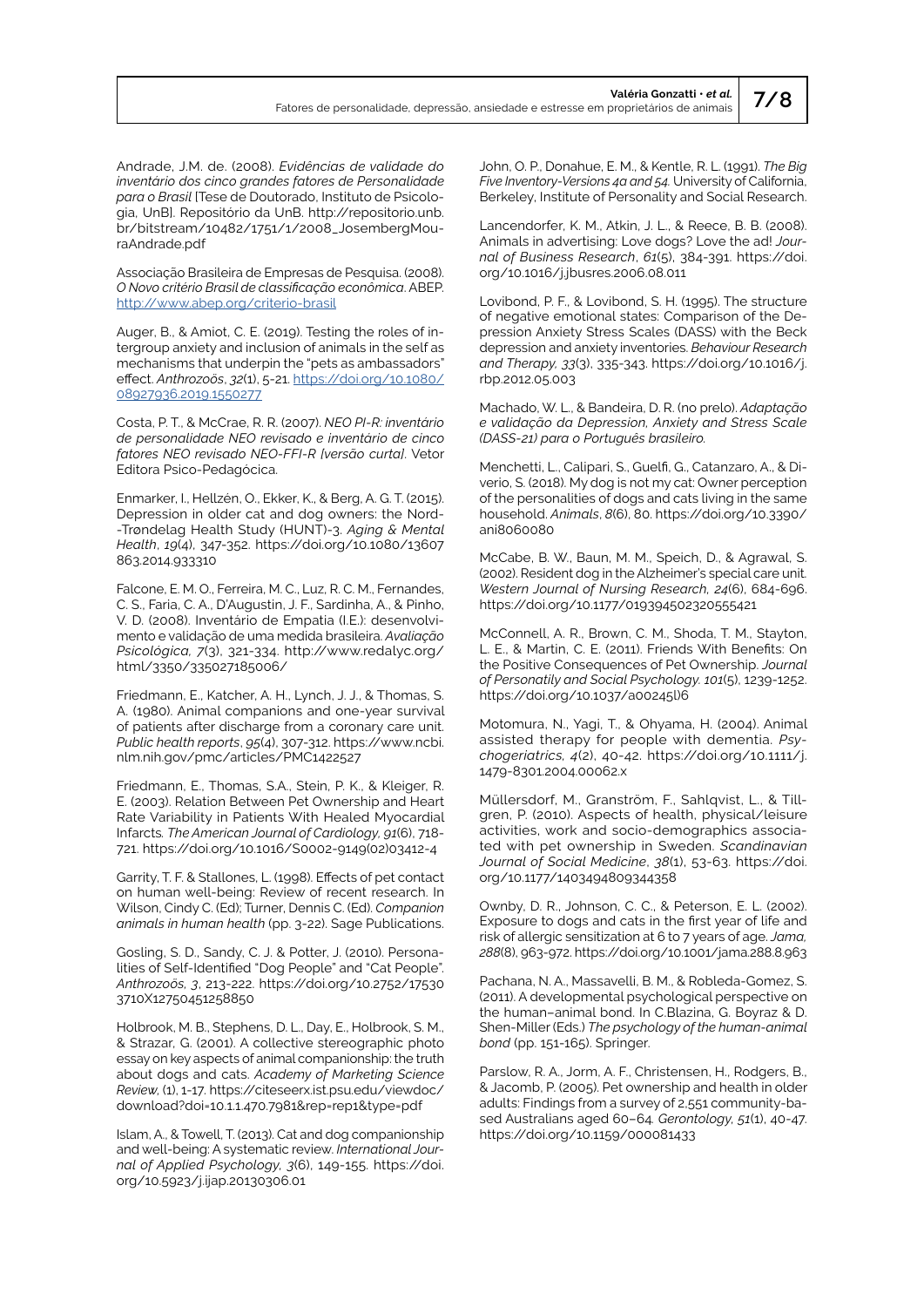Andrade, J.M. de. (2008). *Evidências de validade do inventário dos cinco grandes fatores de Personalidade para o Brasil* [Tese de Doutorado, Instituto de Psicologia, UnB]. Repositório da UnB. http://repositorio.unb. br/bitstream/10482/1751/1/2008\_JosembergMouraAndrade.pdf

Associação Brasileira de Empresas de Pesquisa. (2008). *O Novo critério Brasil de classificação econômica*. ABEP. <http://www.abep.org/criterio-brasil>

Auger, B., & Amiot, C. E. (2019). Testing the roles of intergroup anxiety and inclusion of animals in the self as mechanisms that underpin the "pets as ambassadors" effect. *Anthrozoös*, *32*(1), 5-21. [https://doi.org/10.1080/](https://doi.org/10.1080/08927936.2019.1550277) [08927936.2019.1550277](https://doi.org/10.1080/08927936.2019.1550277)

Costa, P. T., & McCrae, R. R. (2007). *NEO PI-R: inventário de personalidade NEO revisado e inventário de cinco fatores NEO revisado NEO-FFI-R [versão curta]*. Vetor Editora Psico-Pedagócica.

Enmarker, I., Hellzén, O., Ekker, K., & Berg, A. G. T. (2015). Depression in older cat and dog owners: the Nord- -Trøndelag Health Study (HUNT)-3. *Aging & Mental Health*, *19*(4), 347-352. [https://doi.org/10.1080/13607](https://doi.org/10.1080/13607863.2014.933310) [863.2014.933310](https://doi.org/10.1080/13607863.2014.933310)

Falcone, E. M. O., Ferreira, M. C., Luz, R. C. M., Fernandes, C. S., Faria, C. A., D'Augustin, J. F., Sardinha, A., & Pinho, V. D. (2008). Inventário de Empatia (I.E.): desenvolvimento e validação de uma medida brasileira. *Avaliação Psicológica, 7*(3), 321-334. http://www.redalyc.org/ html/3350/335027185006/

Friedmann, E., Katcher, A. H., Lynch, J. J., & Thomas, S. A. (1980). Animal companions and one-year survival of patients after discharge from a coronary care unit. *Public health reports*, *95*(4), 307-312. https://www.ncbi. nlm.nih.gov/pmc/articles/PMC1422527

Friedmann, E., Thomas, S.A., Stein, P. K., & Kleiger, R. E. (2003). Relation Between Pet Ownership and Heart Rate Variability in Patients With Healed Myocardial Infarcts*. The American Journal of Cardiology, 91*(6), 718- 721. [https://doi.org/10.1016/S0002-9149\(02\)03412-4](https://doi.org/10.1016/S0002-9149(02)03412-4)

Garrity, T. F. & Stallones, L. (1998). Effects of pet contact on human well-being: Review of recent research. In Wilson, Cindy C. (Ed); Turner, Dennis C. (Ed). *Companion animals in human health* (pp. 3-22). Sage Publications.

Gosling, S. D., Sandy, C. J. & Potter, J. (2010). Personalities of Self-Identified "Dog People" and "Cat People". *Anthrozoös, 3*, 213-222. https://doi.org/10.2752/17530 3710X12750451258850

Holbrook, M. B., Stephens, D. L., Day, E., Holbrook, S. M., & Strazar, G. (2001). A collective stereographic photo essay on key aspects of animal companionship: the truth about dogs and cats. *Academy of Marketing Science Review,* (1), 1-17*.* https://citeseerx.ist.psu.edu/viewdoc/ download?doi=10.1.1.470.7981&rep=rep1&type=pdf

Islam, A., & Towell, T. (2013). Cat and dog companionship and well-being: A systematic review. *International Journal of Applied Psychology, 3*(6), 149-155. https://doi. org/10.5923/j.ijap.20130306.01

John, O. P., Donahue, E. M., & Kentle, R. L. (1991). *The Big Five Inventory-Versions 4a and 54.* University of California, Berkeley, Institute of Personality and Social Research.

Lancendorfer, K. M., Atkin, J. L., & Reece, B. B. (2008). Animals in advertising: Love dogs? Love the ad! *Journal of Business Research*, *61*(5), 384-391. [https://doi.](https://doi.org/10.1016/j.jbusres.2006.08.011) [org/10.1016/j.jbusres.2006.08.011](https://doi.org/10.1016/j.jbusres.2006.08.011)

Lovibond, P. F., & Lovibond, S. H. (1995). The structure of negative emotional states: Comparison of the Depression Anxiety Stress Scales (DASS) with the Beck depression and anxiety inventories. *Behaviour Research and Therapy, 33*(3), 335-343. https://doi.org/10.1016/j. rbp.2012.05.003

Machado, W. L., & Bandeira, D. R. (no prelo). *Adaptação e validação da Depression, Anxiety and Stress Scale (DASS-21) para o Português brasileiro.*

Menchetti, L., Calipari, S., Guelfi, G., Catanzaro, A., & Diverio, S. (2018). My dog is not my cat: Owner perception of the personalities of dogs and cats living in the same household. *Animals*, *8*(6), 80. [https://doi.org/10.3390/](https://doi.org/10.3390/ani8060080) [ani8060080](https://doi.org/10.3390/ani8060080)

McCabe, B. W., Baun, M. M., Speich, D., & Agrawal, S. (2002). Resident dog in the Alzheimer's special care unit. *Western Journal of Nursing Research, 24*(6), 684-696. [https://doi.org/10.1177/019394502320555421](https://doi.org/10.1177%2F019394502320555421)

McConnell, A. R., Brown, C. M., Shoda, T. M., Stayton, L. E., & Martin, C. E. (2011). Friends With Benefits: On the Positive Consequences of Pet Ownership. *Journal of Personatily and Social Psychology. 101*(5), 1239-1252. https://doi.org/10.1037/a00245l)6

Motomura, N., Yagi, T., & Ohyama, H. (2004). Animal assisted therapy for people with dementia. *Psychogeriatrics, 4*(2), 40-42. https://doi.org/10.1111/j. 1479-8301.2004.00062.x

Müllersdorf, M., Granström, F., Sahlqvist, L., & Tillgren, P. (2010). Aspects of health, physical/leisure activities, work and socio-demographics associated with pet ownership in Sweden. *Scandinavian Journal of Social Medicine*, *38*(1), 53-63. [https://doi.](https://doi.org/10.1177%2F1403494809344358) [org/10.1177/1403494809344358](https://doi.org/10.1177%2F1403494809344358)

Ownby, D. R., Johnson, C. C., & Peterson, E. L. (2002). Exposure to dogs and cats in the first year of life and risk of allergic sensitization at 6 to 7 years of age. *Jama, 288*(8), 963-972. https://doi.org/10.1001/jama.288.8.963

Pachana, N. A., Massavelli, B. M., & Robleda-Gomez, S. (2011). A developmental psychological perspective on the human–animal bond. In C.Blazina, G. Boyraz & D. Shen-Miller (Eds.) *The psychology of the human-animal bond* (pp. 151-165). Springer.

Parslow, R. A., Jorm, A. F., Christensen, H., Rodgers, B., & Jacomb, P. (2005). Pet ownership and health in older adults: Findings from a survey of 2,551 community-based Australians aged 60–64*. Gerontology, 51*(1), 40-47. <https://doi.org/10.1159/000081433>